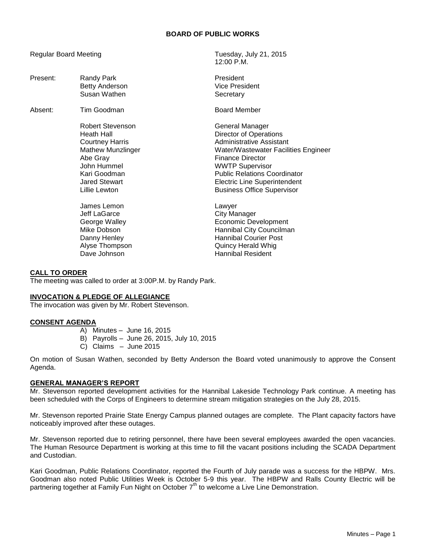# **BOARD OF PUBLIC WORKS**

Regular Board Meeting Tuesday, July 21, 2015

|          |                                                                                                                                                                          | 12:00 P.M.                                                                                                                                                                                                                                                                            |
|----------|--------------------------------------------------------------------------------------------------------------------------------------------------------------------------|---------------------------------------------------------------------------------------------------------------------------------------------------------------------------------------------------------------------------------------------------------------------------------------|
| Present: | Randy Park<br><b>Betty Anderson</b><br>Susan Wathen                                                                                                                      | President<br><b>Vice President</b><br>Secretary                                                                                                                                                                                                                                       |
| Absent:  | Tim Goodman                                                                                                                                                              | <b>Board Member</b>                                                                                                                                                                                                                                                                   |
|          | <b>Robert Stevenson</b><br>Heath Hall<br><b>Courtney Harris</b><br>Mathew Munzlinger<br>Abe Gray<br>John Hummel<br>Kari Goodman<br><b>Jared Stewart</b><br>Lillie Lewton | General Manager<br>Director of Operations<br>Administrative Assistant<br>Water/Wastewater Facilities Engineer<br><b>Finance Director</b><br><b>WWTP Supervisor</b><br><b>Public Relations Coordinator</b><br><b>Electric Line Superintendent</b><br><b>Business Office Supervisor</b> |
|          | James Lemon<br>Jeff LaGarce<br>George Walley<br>Mike Dobson<br>Danny Henley<br>Alyse Thompson<br>Dave Johnson                                                            | Lawyer<br><b>City Manager</b><br>Economic Development<br>Hannibal City Councilman<br><b>Hannibal Courier Post</b><br><b>Quincy Herald Whig</b><br><b>Hannibal Resident</b>                                                                                                            |

#### **CALL TO ORDER**

The meeting was called to order at 3:00P.M. by Randy Park.

### **INVOCATION & PLEDGE OF ALLEGIANCE**

The invocation was given by Mr. Robert Stevenson.

### **CONSENT AGENDA**

- A) Minutes June 16, 2015
- B) Payrolls June 26, 2015, July 10, 2015
- C) Claims June 2015

On motion of Susan Wathen, seconded by Betty Anderson the Board voted unanimously to approve the Consent Agenda.

### **GENERAL MANAGER'S REPORT**

Mr. Stevenson reported development activities for the Hannibal Lakeside Technology Park continue. A meeting has been scheduled with the Corps of Engineers to determine stream mitigation strategies on the July 28, 2015.

Mr. Stevenson reported Prairie State Energy Campus planned outages are complete. The Plant capacity factors have noticeably improved after these outages.

Mr. Stevenson reported due to retiring personnel, there have been several employees awarded the open vacancies. The Human Resource Department is working at this time to fill the vacant positions including the SCADA Department and Custodian.

Kari Goodman, Public Relations Coordinator, reported the Fourth of July parade was a success for the HBPW. Mrs. Goodman also noted Public Utilities Week is October 5-9 this year. The HBPW and Ralls County Electric will be partnering together at Family Fun Night on October  $7<sup>th</sup>$  to welcome a Live Line Demonstration.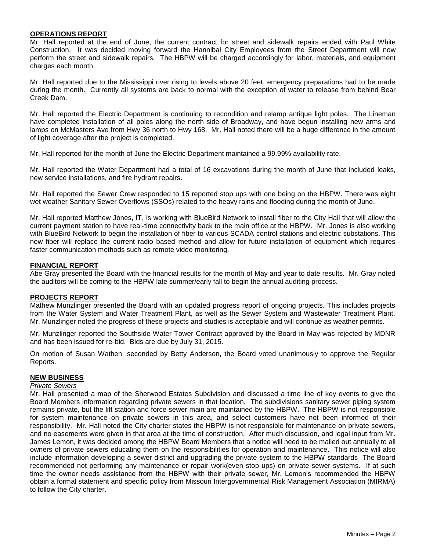# **OPERATIONS REPORT**

Mr. Hall reported at the end of June, the current contract for street and sidewalk repairs ended with Paul White Construction. It was decided moving forward the Hannibal City Employees from the Street Department will now perform the street and sidewalk repairs. The HBPW will be charged accordingly for labor, materials, and equipment charges each month.

Mr. Hall reported due to the Mississippi river rising to levels above 20 feet, emergency preparations had to be made during the month. Currently all systems are back to normal with the exception of water to release from behind Bear Creek Dam.

Mr. Hall reported the Electric Department is continuing to recondition and relamp antique light poles. The Lineman have completed installation of all poles along the north side of Broadway, and have begun installing new arms and lamps on McMasters Ave from Hwy 36 north to Hwy 168. Mr. Hall noted there will be a huge difference in the amount of light coverage after the project is completed.

Mr. Hall reported for the month of June the Electric Department maintained a 99.99% availability rate.

Mr. Hall reported the Water Department had a total of 16 excavations during the month of June that included leaks, new service installations, and fire hydrant repairs.

Mr. Hall reported the Sewer Crew responded to 15 reported stop ups with one being on the HBPW. There was eight wet weather Sanitary Sewer Overflows (SSOs) related to the heavy rains and flooding during the month of June.

Mr. Hall reported Matthew Jones, IT, is working with BlueBird Network to install fiber to the City Hall that will allow the current payment station to have real-time connectivity back to the main office at the HBPW. Mr. Jones is also working with BlueBird Network to begin the installation of fiber to various SCADA control stations and electric substations. This new fiber will replace the current radio based method and allow for future installation of equipment which requires faster communication methods such as remote video monitoring.

### **FINANCIAL REPORT**

Abe Gray presented the Board with the financial results for the month of May and year to date results. Mr. Gray noted the auditors will be coming to the HBPW late summer/early fall to begin the annual auditing process.

### **PROJECTS REPORT**

Mathew Munzlinger presented the Board with an updated progress report of ongoing projects. This includes projects from the Water System and Water Treatment Plant, as well as the Sewer System and Wastewater Treatment Plant. Mr. Munzlinger noted the progress of these projects and studies is acceptable and will continue as weather permits.

Mr. Munzlinger reported the Southside Water Tower Contract approved by the Board in May was rejected by MDNR and has been issued for re-bid. Bids are due by July 31, 2015.

On motion of Susan Wathen, seconded by Betty Anderson, the Board voted unanimously to approve the Regular Reports.

### **NEW BUSINESS**

### *Private Sewers*

Mr. Hall presented a map of the Sherwood Estates Subdivision and discussed a time line of key events to give the Board Members information regarding private sewers in that location. The subdivisions sanitary sewer piping system remains private, but the lift station and force sewer main are maintained by the HBPW. The HBPW is not responsible for system maintenance on private sewers in this area, and select customers have not been informed of their responsibility. Mr. Hall noted the City charter states the HBPW is not responsible for maintenance on private sewers, and no easements were given in that area at the time of construction. After much discussion, and legal input from Mr. James Lemon, it was decided among the HBPW Board Members that a notice will need to be mailed out annually to all owners of private sewers educating them on the responsibilities for operation and maintenance. This notice will also include information developing a sewer district and upgrading the private system to the HBPW standards The Board recommended not performing any maintenance or repair work(even stop-ups) on private sewer systems. If at such time the owner needs assistance from the HBPW with their private sewer, Mr. Lemon's recommended the HBPW obtain a formal statement and specific policy from Missouri Intergovernmental Risk Management Association (MIRMA) to follow the City charter.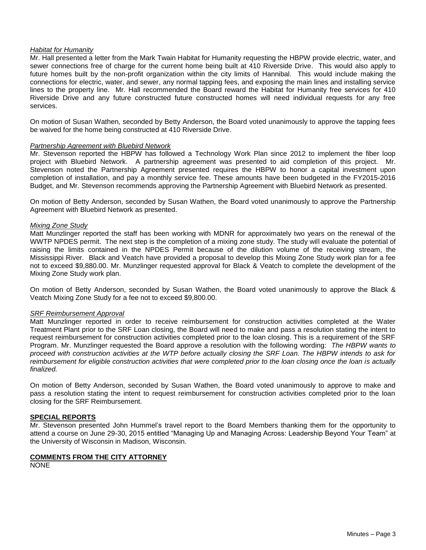## *Habitat for Humanity*

Mr. Hall presented a letter from the Mark Twain Habitat for Humanity requesting the HBPW provide electric, water, and sewer connections free of charge for the current home being built at 410 Riverside Drive. This would also apply to future homes built by the non-profit organization within the city limits of Hannibal. This would include making the connections for electric, water, and sewer, any normal tapping fees, and exposing the main lines and installing service lines to the property line. Mr. Hall recommended the Board reward the Habitat for Humanity free services for 410 Riverside Drive and any future constructed future constructed homes will need individual requests for any free services.

On motion of Susan Wathen, seconded by Betty Anderson, the Board voted unanimously to approve the tapping fees be waived for the home being constructed at 410 Riverside Drive.

### *Partnership Agreement with Bluebird Network*

Mr. Stevenson reported the HBPW has followed a Technology Work Plan since 2012 to implement the fiber loop project with Bluebird Network. A partnership agreement was presented to aid completion of this project. Mr. Stevenson noted the Partnership Agreement presented requires the HBPW to honor a capital investment upon completion of installation, and pay a monthly service fee. These amounts have been budgeted in the FY2015-2016 Budget, and Mr. Stevenson recommends approving the Partnership Agreement with Bluebird Network as presented.

On motion of Betty Anderson, seconded by Susan Wathen, the Board voted unanimously to approve the Partnership Agreement with Bluebird Network as presented.

### *Mixing Zone Study*

Matt Munzlinger reported the staff has been working with MDNR for approximately two years on the renewal of the WWTP NPDES permit. The next step is the completion of a mixing zone study. The study will evaluate the potential of raising the limits contained in the NPDES Permit because of the dilution volume of the receiving stream, the Mississippi River. Black and Veatch have provided a proposal to develop this Mixing Zone Study work plan for a fee not to exceed \$9,880.00. Mr. Munzlinger requested approval for Black & Veatch to complete the development of the Mixing Zone Study work plan.

On motion of Betty Anderson, seconded by Susan Wathen, the Board voted unanimously to approve the Black & Veatch Mixing Zone Study for a fee not to exceed \$9,800.00.

### *SRF Reimbursement Approval*

Matt Munzlinger reported in order to receive reimbursement for construction activities completed at the Water Treatment Plant prior to the SRF Loan closing, the Board will need to make and pass a resolution stating the intent to request reimbursement for construction activities completed prior to the loan closing. This is a requirement of the SRF Program. Mr. Munzlinger requested the Board approve a resolution with the following wording: *The HBPW wants to proceed with construction activities at the WTP before actually closing the SRF Loan. The HBPW intends to ask for reimbursement for eligible construction activities that were completed prior to the loan closing once the loan is actually finalized.*

On motion of Betty Anderson, seconded by Susan Wathen, the Board voted unanimously to approve to make and pass a resolution stating the intent to request reimbursement for construction activities completed prior to the loan closing for the SRF Reimbursement.

## **SPECIAL REPORTS**

Mr. Stevenson presented John Hummel's travel report to the Board Members thanking them for the opportunity to attend a course on June 29-30, 2015 entitled "Managing Up and Managing Across: Leadership Beyond Your Team" at the University of Wisconsin in Madison, Wisconsin.

### **COMMENTS FROM THE CITY ATTORNEY**

NONE